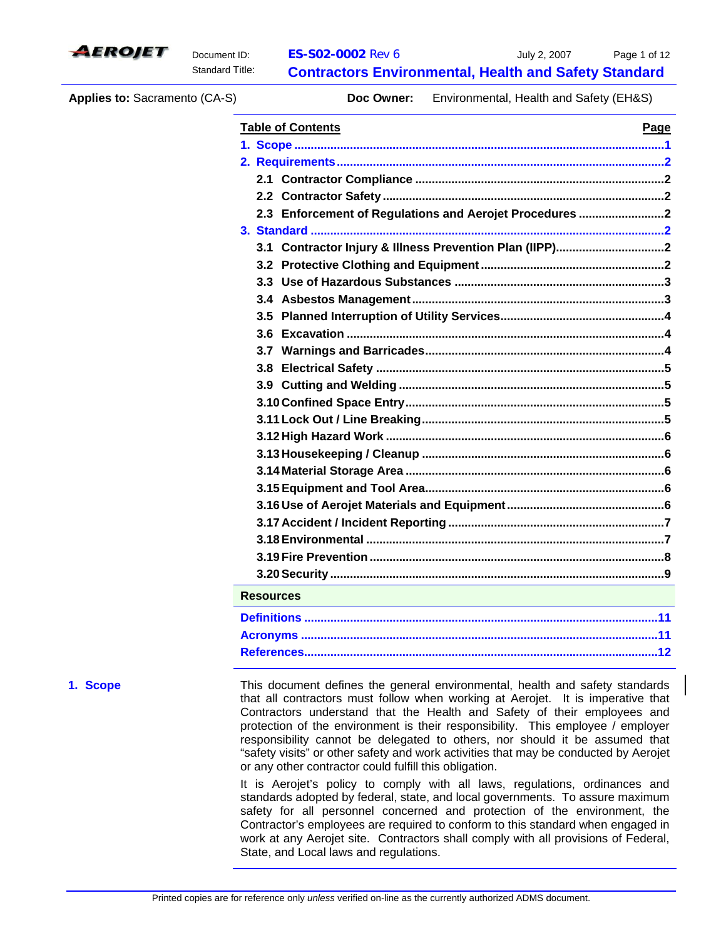

**Applies to:** Sacramento (CA-S) **Doc Owner:** Environmental, Health and Safety (EH&S)

| <b>Table of Contents</b>                                | Page |
|---------------------------------------------------------|------|
|                                                         |      |
|                                                         |      |
|                                                         |      |
|                                                         |      |
| 2.3 Enforcement of Regulations and Aerojet Procedures 2 |      |
|                                                         |      |
|                                                         |      |
|                                                         |      |
|                                                         |      |
|                                                         |      |
|                                                         |      |
|                                                         |      |
|                                                         |      |
|                                                         |      |
|                                                         |      |
|                                                         |      |
|                                                         |      |
|                                                         |      |
|                                                         |      |
|                                                         |      |
|                                                         |      |
|                                                         |      |
|                                                         |      |
|                                                         |      |
|                                                         |      |
|                                                         |      |
| <b>Resources</b>                                        |      |
|                                                         |      |
|                                                         |      |
|                                                         |      |

**1. Scope** This document defines the general environmental, health and safety standards that all contractors must follow when working at Aerojet. It is imperative that Contractors understand that the Health and Safety of their employees and protection of the environment is their responsibility. This employee / employer responsibility cannot be delegated to others, nor should it be assumed that "safety visits" or other safety and work activities that may be conducted by Aerojet or any other contractor could fulfill this obligation.

> It is Aerojet's policy to comply with all laws, regulations, ordinances and standards adopted by federal, state, and local governments. To assure maximum safety for all personnel concerned and protection of the environment, the Contractor's employees are required to conform to this standard when engaged in work at any Aerojet site. Contractors shall comply with all provisions of Federal, State, and Local laws and regulations.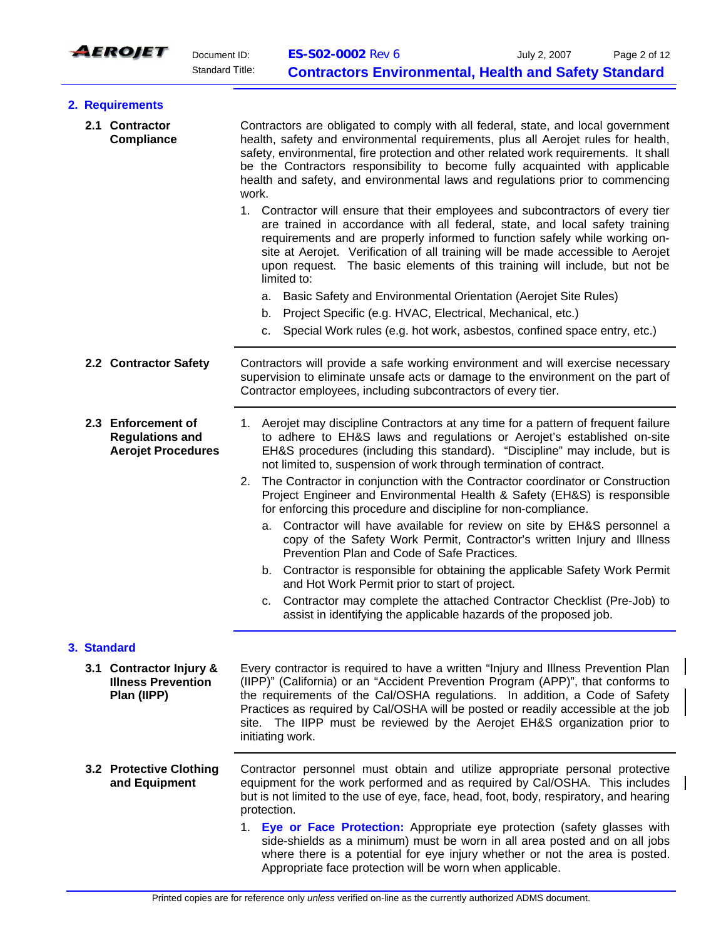

|  | 2. Requirements                                                           |                                                                                                                                                                                                                                                                                                                                                                                                                                                                                                                                                            |  |  |
|--|---------------------------------------------------------------------------|------------------------------------------------------------------------------------------------------------------------------------------------------------------------------------------------------------------------------------------------------------------------------------------------------------------------------------------------------------------------------------------------------------------------------------------------------------------------------------------------------------------------------------------------------------|--|--|
|  | 2.1 Contractor<br>Compliance                                              | Contractors are obligated to comply with all federal, state, and local government<br>health, safety and environmental requirements, plus all Aerojet rules for health,<br>safety, environmental, fire protection and other related work requirements. It shall<br>be the Contractors responsibility to become fully acquainted with applicable<br>health and safety, and environmental laws and regulations prior to commencing<br>work.                                                                                                                   |  |  |
|  |                                                                           | 1. Contractor will ensure that their employees and subcontractors of every tier<br>are trained in accordance with all federal, state, and local safety training<br>requirements and are properly informed to function safely while working on-<br>site at Aerojet. Verification of all training will be made accessible to Aerojet<br>upon request. The basic elements of this training will include, but not be<br>limited to:                                                                                                                            |  |  |
|  |                                                                           | Basic Safety and Environmental Orientation (Aerojet Site Rules)<br>a.                                                                                                                                                                                                                                                                                                                                                                                                                                                                                      |  |  |
|  |                                                                           | Project Specific (e.g. HVAC, Electrical, Mechanical, etc.)<br>b.                                                                                                                                                                                                                                                                                                                                                                                                                                                                                           |  |  |
|  |                                                                           | Special Work rules (e.g. hot work, asbestos, confined space entry, etc.)<br>c.                                                                                                                                                                                                                                                                                                                                                                                                                                                                             |  |  |
|  | 2.2 Contractor Safety                                                     | Contractors will provide a safe working environment and will exercise necessary<br>supervision to eliminate unsafe acts or damage to the environment on the part of<br>Contractor employees, including subcontractors of every tier.                                                                                                                                                                                                                                                                                                                       |  |  |
|  | 2.3 Enforcement of<br><b>Regulations and</b><br><b>Aerojet Procedures</b> | 1. Aerojet may discipline Contractors at any time for a pattern of frequent failure<br>to adhere to EH&S laws and regulations or Aerojet's established on-site<br>EH&S procedures (including this standard). "Discipline" may include, but is<br>not limited to, suspension of work through termination of contract.<br>The Contractor in conjunction with the Contractor coordinator or Construction<br>2.<br>Project Engineer and Environmental Health & Safety (EH&S) is responsible<br>for enforcing this procedure and discipline for non-compliance. |  |  |
|  |                                                                           | a. Contractor will have available for review on site by EH&S personnel a<br>copy of the Safety Work Permit, Contractor's written Injury and Illness<br>Prevention Plan and Code of Safe Practices.<br>b. Contractor is responsible for obtaining the applicable Safety Work Permit                                                                                                                                                                                                                                                                         |  |  |
|  |                                                                           | and Hot Work Permit prior to start of project.                                                                                                                                                                                                                                                                                                                                                                                                                                                                                                             |  |  |
|  |                                                                           | Contractor may complete the attached Contractor Checklist (Pre-Job) to<br>c.<br>assist in identifying the applicable hazards of the proposed job.                                                                                                                                                                                                                                                                                                                                                                                                          |  |  |
|  | 3. Standard                                                               |                                                                                                                                                                                                                                                                                                                                                                                                                                                                                                                                                            |  |  |
|  | 3.1 Contractor Injury &<br><b>Illness Prevention</b><br>Plan (IIPP)       | Every contractor is required to have a written "Injury and Illness Prevention Plan<br>(IIPP)" (California) or an "Accident Prevention Program (APP)", that conforms to<br>the requirements of the Cal/OSHA regulations. In addition, a Code of Safety<br>Practices as required by Cal/OSHA will be posted or readily accessible at the job<br>site. The IIPP must be reviewed by the Aerojet EH&S organization prior to<br>initiating work.                                                                                                                |  |  |
|  | 3.2 Protective Clothing<br>and Equipment                                  | Contractor personnel must obtain and utilize appropriate personal protective<br>equipment for the work performed and as required by Cal/OSHA. This includes<br>but is not limited to the use of eye, face, head, foot, body, respiratory, and hearing<br>protection.                                                                                                                                                                                                                                                                                       |  |  |
|  |                                                                           | 1. Eye or Face Protection: Appropriate eye protection (safety glasses with<br>side-shields as a minimum) must be worn in all area posted and on all jobs<br>where there is a potential for eye injury whether or not the area is posted.                                                                                                                                                                                                                                                                                                                   |  |  |

Appropriate face protection will be worn when applicable.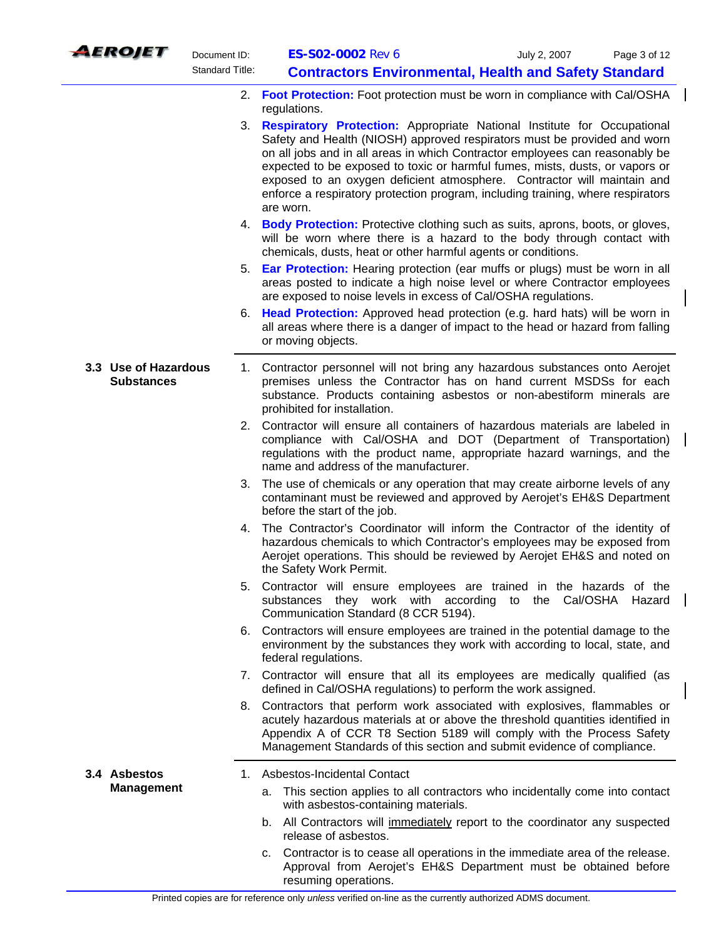|    | <i><b>AEROJET</b></i>                     | Document ID:           | ES-S02-0002 Rev 6                                                                                                                                                                                                                                                                                                                                                                                                                                                                                     | Page 3 of 12<br>July 2, 2007                                               |
|----|-------------------------------------------|------------------------|-------------------------------------------------------------------------------------------------------------------------------------------------------------------------------------------------------------------------------------------------------------------------------------------------------------------------------------------------------------------------------------------------------------------------------------------------------------------------------------------------------|----------------------------------------------------------------------------|
|    |                                           | <b>Standard Title:</b> |                                                                                                                                                                                                                                                                                                                                                                                                                                                                                                       | <b>Contractors Environmental, Health and Safety Standard</b>               |
|    |                                           |                        | 2. Foot Protection: Foot protection must be worn in compliance with Cal/OSHA<br>regulations.                                                                                                                                                                                                                                                                                                                                                                                                          |                                                                            |
| 3. |                                           |                        | <b>Respiratory Protection:</b> Appropriate National Institute for Occupational<br>Safety and Health (NIOSH) approved respirators must be provided and worn<br>on all jobs and in all areas in which Contractor employees can reasonably be<br>expected to be exposed to toxic or harmful fumes, mists, dusts, or vapors or<br>exposed to an oxygen deficient atmosphere. Contractor will maintain and<br>enforce a respiratory protection program, including training, where respirators<br>are worn. |                                                                            |
|    |                                           |                        | 4. Body Protection: Protective clothing such as suits, aprons, boots, or gloves,<br>will be worn where there is a hazard to the body through contact with<br>chemicals, dusts, heat or other harmful agents or conditions.                                                                                                                                                                                                                                                                            |                                                                            |
|    |                                           | 5.                     | <b>Ear Protection:</b> Hearing protection (ear muffs or plugs) must be worn in all<br>areas posted to indicate a high noise level or where Contractor employees<br>are exposed to noise levels in excess of Cal/OSHA regulations.                                                                                                                                                                                                                                                                     |                                                                            |
|    |                                           |                        | 6. Head Protection: Approved head protection (e.g. hard hats) will be worn in<br>all areas where there is a danger of impact to the head or hazard from falling<br>or moving objects.                                                                                                                                                                                                                                                                                                                 |                                                                            |
|    | 3.3 Use of Hazardous<br><b>Substances</b> |                        | 1. Contractor personnel will not bring any hazardous substances onto Aerojet<br>premises unless the Contractor has on hand current MSDSs for each<br>substance. Products containing asbestos or non-abestiform minerals are<br>prohibited for installation.                                                                                                                                                                                                                                           |                                                                            |
|    |                                           |                        | 2. Contractor will ensure all containers of hazardous materials are labeled in<br>compliance with Cal/OSHA and DOT (Department of Transportation)<br>regulations with the product name, appropriate hazard warnings, and the<br>name and address of the manufacturer.                                                                                                                                                                                                                                 |                                                                            |
|    |                                           |                        | 3. The use of chemicals or any operation that may create airborne levels of any<br>contaminant must be reviewed and approved by Aerojet's EH&S Department<br>before the start of the job.                                                                                                                                                                                                                                                                                                             |                                                                            |
|    |                                           | 4.                     | The Contractor's Coordinator will inform the Contractor of the identity of<br>hazardous chemicals to which Contractor's employees may be exposed from<br>Aerojet operations. This should be reviewed by Aerojet EH&S and noted on<br>the Safety Work Permit.                                                                                                                                                                                                                                          |                                                                            |
|    |                                           |                        | 5. Contractor will ensure employees are trained in the hazards of the<br>substances they work with according to<br>Communication Standard (8 CCR 5194).                                                                                                                                                                                                                                                                                                                                               | the Cal/OSHA<br>Hazard                                                     |
|    |                                           | 6.                     | Contractors will ensure employees are trained in the potential damage to the<br>environment by the substances they work with according to local, state, and<br>federal regulations.                                                                                                                                                                                                                                                                                                                   |                                                                            |
|    |                                           |                        | 7. Contractor will ensure that all its employees are medically qualified (as<br>defined in Cal/OSHA regulations) to perform the work assigned.                                                                                                                                                                                                                                                                                                                                                        |                                                                            |
|    |                                           |                        | 8. Contractors that perform work associated with explosives, flammables or<br>acutely hazardous materials at or above the threshold quantities identified in<br>Appendix A of CCR T8 Section 5189 will comply with the Process Safety<br>Management Standards of this section and submit evidence of compliance.                                                                                                                                                                                      |                                                                            |
|    | 3.4 Asbestos                              |                        | 1. Asbestos-Incidental Contact                                                                                                                                                                                                                                                                                                                                                                                                                                                                        |                                                                            |
|    | <b>Management</b>                         |                        | а.<br>with asbestos-containing materials.                                                                                                                                                                                                                                                                                                                                                                                                                                                             | This section applies to all contractors who incidentally come into contact |
|    |                                           |                        | b. All Contractors will immediately report to the coordinator any suspected<br>release of asbestos.                                                                                                                                                                                                                                                                                                                                                                                                   |                                                                            |
|    |                                           |                        | c. Contractor is to cease all operations in the immediate area of the release.<br>resuming operations.                                                                                                                                                                                                                                                                                                                                                                                                | Approval from Aerojet's EH&S Department must be obtained before            |

 $\overline{\phantom{a}}$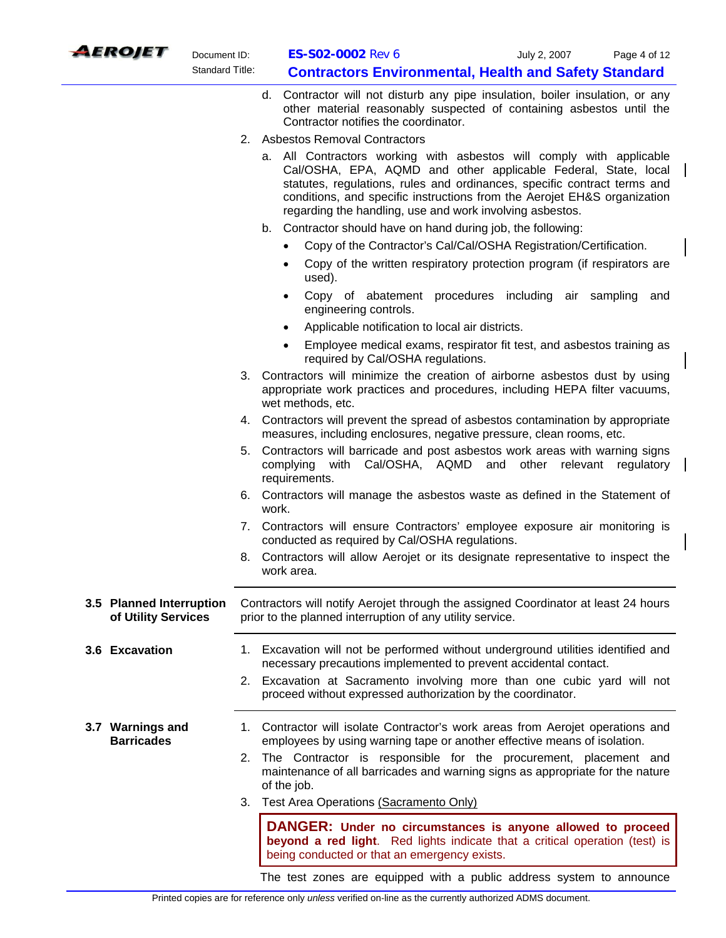

- d. Contractor will not disturb any pipe insulation, boiler insulation, or any other material reasonably suspected of containing asbestos until the Contractor notifies the coordinator.
- 2. Asbestos Removal Contractors
	- a. All Contractors working with asbestos will comply with applicable Cal/OSHA, EPA, AQMD and other applicable Federal, State, local statutes, regulations, rules and ordinances, specific contract terms and conditions, and specific instructions from the Aerojet EH&S organization regarding the handling, use and work involving asbestos.
	- b. Contractor should have on hand during job, the following:
		- Copy of the Contractor's Cal/Cal/OSHA Registration/Certification.
		- Copy of the written respiratory protection program (if respirators are used).
		- Copy of abatement procedures including air sampling and engineering controls.
		- Applicable notification to local air districts.
		- Employee medical exams, respirator fit test, and asbestos training as required by Cal/OSHA regulations.
- 3. Contractors will minimize the creation of airborne asbestos dust by using appropriate work practices and procedures, including HEPA filter vacuums, wet methods, etc.
- 4. Contractors will prevent the spread of asbestos contamination by appropriate measures, including enclosures, negative pressure, clean rooms, etc.
- 5. Contractors will barricade and post asbestos work areas with warning signs complying with Cal/OSHA, AQMD and other relevant regulatory requirements.
- 6. Contractors will manage the asbestos waste as defined in the Statement of work.
- 7. Contractors will ensure Contractors' employee exposure air monitoring is conducted as required by Cal/OSHA regulations.
- 8. Contractors will allow Aerojet or its designate representative to inspect the work area.

## **3.5 Planned Interruption of Utility Services**  Contractors will notify Aerojet through the assigned Coordinator at least 24 hours prior to the planned interruption of any utility service.

- **3.6 Excavation** 1. Excavation will not be performed without underground utilities identified and necessary precautions implemented to prevent accidental contact.
	- 2. Excavation at Sacramento involving more than one cubic yard will not proceed without expressed authorization by the coordinator.
- **3.7 Warnings and Barricades**  1. Contractor will isolate Contractor's work areas from Aerojet operations and employees by using warning tape or another effective means of isolation.
	- 2. The Contractor is responsible for the procurement, placement and maintenance of all barricades and warning signs as appropriate for the nature of the job.
	- 3. Test Area Operations (Sacramento Only)

**DANGER: Under no circumstances is anyone allowed to proceed beyond a red light**. Red lights indicate that a critical operation (test) is being conducted or that an emergency exists.

The test zones are equipped with a public address system to announce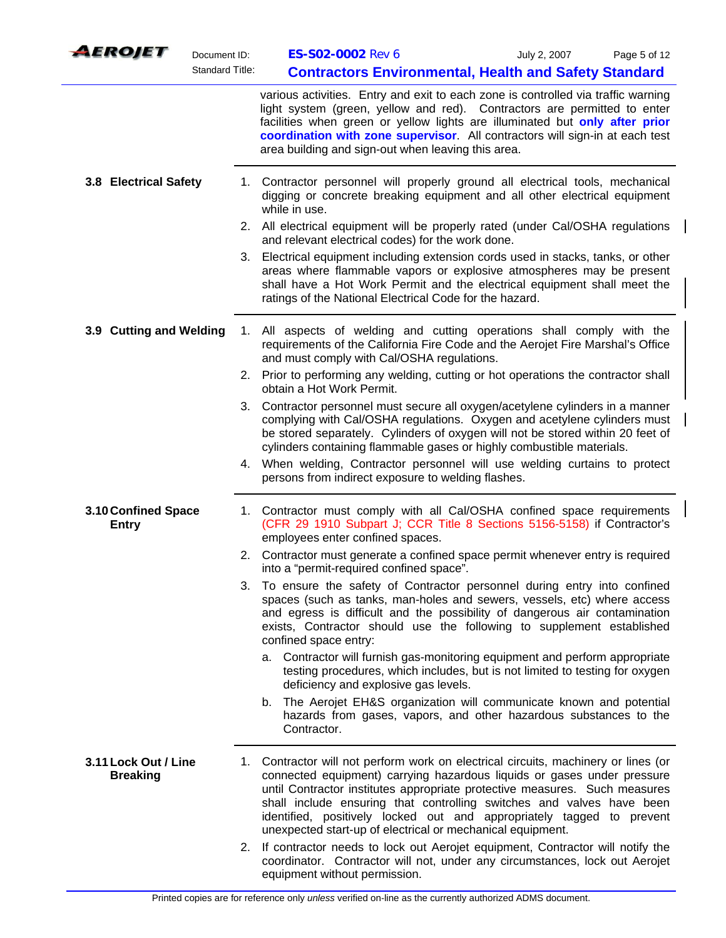|                       | <i><b>AEROJET</b></i>                   | Document ID:           | ES-S02-0002 Rev 6                                                                                                                                                                                                                                                                                                                                                                                                                                           | July 2, 2007<br>Page 5 of 12                                                                                                            |
|-----------------------|-----------------------------------------|------------------------|-------------------------------------------------------------------------------------------------------------------------------------------------------------------------------------------------------------------------------------------------------------------------------------------------------------------------------------------------------------------------------------------------------------------------------------------------------------|-----------------------------------------------------------------------------------------------------------------------------------------|
|                       |                                         | <b>Standard Title:</b> |                                                                                                                                                                                                                                                                                                                                                                                                                                                             | <b>Contractors Environmental, Health and Safety Standard</b>                                                                            |
|                       |                                         |                        | various activities. Entry and exit to each zone is controlled via traffic warning<br>light system (green, yellow and red). Contractors are permitted to enter<br>facilities when green or yellow lights are illuminated but only after prior<br>coordination with zone supervisor. All contractors will sign-in at each test<br>area building and sign-out when leaving this area.                                                                          |                                                                                                                                         |
| 3.8 Electrical Safety |                                         |                        | 1. Contractor personnel will properly ground all electrical tools, mechanical<br>digging or concrete breaking equipment and all other electrical equipment<br>while in use.                                                                                                                                                                                                                                                                                 |                                                                                                                                         |
|                       |                                         |                        | 2.<br>All electrical equipment will be properly rated (under Cal/OSHA regulations<br>and relevant electrical codes) for the work done.                                                                                                                                                                                                                                                                                                                      |                                                                                                                                         |
|                       |                                         | 3.                     | Electrical equipment including extension cords used in stacks, tanks, or other<br>areas where flammable vapors or explosive atmospheres may be present<br>shall have a Hot Work Permit and the electrical equipment shall meet the<br>ratings of the National Electrical Code for the hazard.                                                                                                                                                               |                                                                                                                                         |
|                       | 3.9 Cutting and Welding                 |                        | All aspects of welding and cutting operations shall comply with the<br>1.<br>requirements of the California Fire Code and the Aerojet Fire Marshal's Office<br>and must comply with Cal/OSHA regulations.                                                                                                                                                                                                                                                   |                                                                                                                                         |
|                       |                                         |                        | 2. Prior to performing any welding, cutting or hot operations the contractor shall<br>obtain a Hot Work Permit.                                                                                                                                                                                                                                                                                                                                             |                                                                                                                                         |
|                       |                                         |                        | Contractor personnel must secure all oxygen/acetylene cylinders in a manner<br>3.<br>complying with Cal/OSHA regulations. Oxygen and acetylene cylinders must<br>be stored separately. Cylinders of oxygen will not be stored within 20 feet of<br>cylinders containing flammable gases or highly combustible materials.                                                                                                                                    |                                                                                                                                         |
|                       |                                         |                        | 4. When welding, Contractor personnel will use welding curtains to protect<br>persons from indirect exposure to welding flashes.                                                                                                                                                                                                                                                                                                                            |                                                                                                                                         |
|                       | 3.10 Confined Space<br><b>Entry</b>     |                        | 1. Contractor must comply with all Cal/OSHA confined space requirements<br>(CFR 29 1910 Subpart J; CCR Title 8 Sections 5156-5158) if Contractor's<br>employees enter confined spaces.                                                                                                                                                                                                                                                                      |                                                                                                                                         |
|                       |                                         |                        | 2. Contractor must generate a confined space permit whenever entry is required<br>into a "permit-required confined space".                                                                                                                                                                                                                                                                                                                                  |                                                                                                                                         |
|                       |                                         |                        | 3. To ensure the safety of Contractor personnel during entry into confined<br>spaces (such as tanks, man-holes and sewers, vessels, etc) where access<br>and egress is difficult and the possibility of dangerous air contamination<br>exists, Contractor should use the following to supplement established<br>confined space entry:                                                                                                                       |                                                                                                                                         |
|                       |                                         |                        | a. Contractor will furnish gas-monitoring equipment and perform appropriate<br>deficiency and explosive gas levels.                                                                                                                                                                                                                                                                                                                                         | testing procedures, which includes, but is not limited to testing for oxygen                                                            |
|                       |                                         |                        | b.<br>Contractor.                                                                                                                                                                                                                                                                                                                                                                                                                                           | The Aerojet EH&S organization will communicate known and potential<br>hazards from gases, vapors, and other hazardous substances to the |
|                       | 3.11 Lock Out / Line<br><b>Breaking</b> |                        | 1. Contractor will not perform work on electrical circuits, machinery or lines (or<br>connected equipment) carrying hazardous liquids or gases under pressure<br>until Contractor institutes appropriate protective measures. Such measures<br>shall include ensuring that controlling switches and valves have been<br>identified, positively locked out and appropriately tagged to prevent<br>unexpected start-up of electrical or mechanical equipment. |                                                                                                                                         |
|                       |                                         |                        | If contractor needs to lock out Aerojet equipment, Contractor will notify the<br>2.<br>coordinator. Contractor will not, under any circumstances, lock out Aerojet<br>equipment without permission.                                                                                                                                                                                                                                                         |                                                                                                                                         |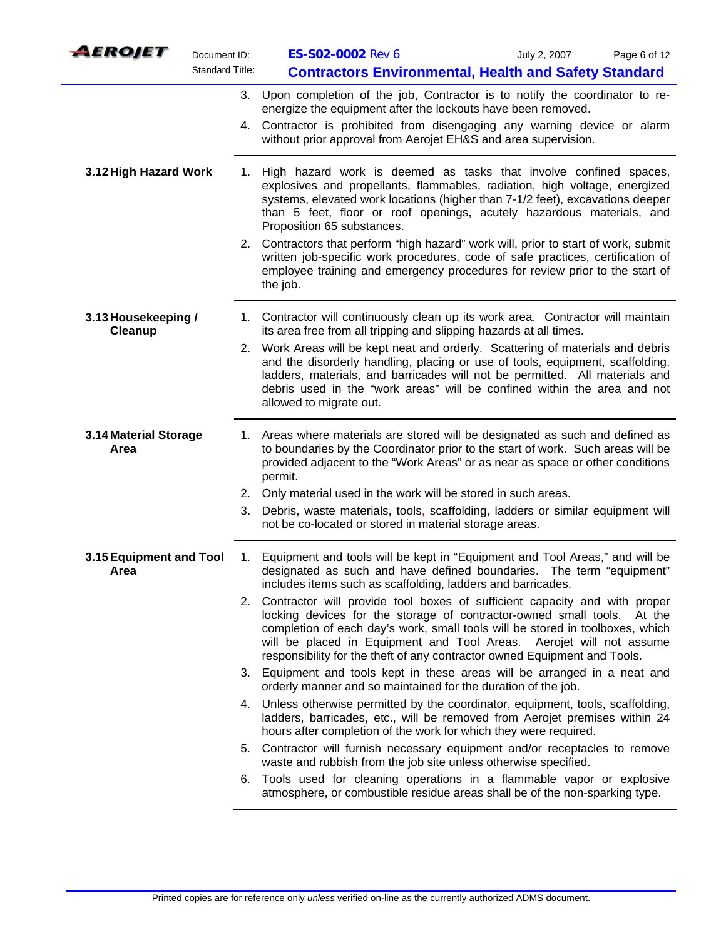| AEROJET                         | Document ID:           | ES-S02-0002 Rev 6                                                                                                                                                                                                                                                                                                                                                                     | July 2, 2007 | Page 6 of 12 |
|---------------------------------|------------------------|---------------------------------------------------------------------------------------------------------------------------------------------------------------------------------------------------------------------------------------------------------------------------------------------------------------------------------------------------------------------------------------|--------------|--------------|
|                                 | <b>Standard Title:</b> | <b>Contractors Environmental, Health and Safety Standard</b>                                                                                                                                                                                                                                                                                                                          |              |              |
|                                 | 3.                     | Upon completion of the job, Contractor is to notify the coordinator to re-<br>energize the equipment after the lockouts have been removed.                                                                                                                                                                                                                                            |              |              |
|                                 |                        | 4. Contractor is prohibited from disengaging any warning device or alarm<br>without prior approval from Aerojet EH&S and area supervision.                                                                                                                                                                                                                                            |              |              |
| 3.12 High Hazard Work           | 1.                     | High hazard work is deemed as tasks that involve confined spaces,<br>explosives and propellants, flammables, radiation, high voltage, energized<br>systems, elevated work locations (higher than 7-1/2 feet), excavations deeper<br>than 5 feet, floor or roof openings, acutely hazardous materials, and<br>Proposition 65 substances.                                               |              |              |
|                                 |                        | 2. Contractors that perform "high hazard" work will, prior to start of work, submit<br>written job-specific work procedures, code of safe practices, certification of<br>employee training and emergency procedures for review prior to the start of<br>the job.                                                                                                                      |              |              |
| 3.13 Housekeeping /<br>Cleanup  |                        | 1. Contractor will continuously clean up its work area. Contractor will maintain<br>its area free from all tripping and slipping hazards at all times.                                                                                                                                                                                                                                |              |              |
|                                 |                        | 2. Work Areas will be kept neat and orderly. Scattering of materials and debris<br>and the disorderly handling, placing or use of tools, equipment, scaffolding,<br>ladders, materials, and barricades will not be permitted. All materials and<br>debris used in the "work areas" will be confined within the area and not<br>allowed to migrate out.                                |              |              |
| 3.14 Material Storage<br>Area   |                        | 1. Areas where materials are stored will be designated as such and defined as<br>to boundaries by the Coordinator prior to the start of work. Such areas will be<br>provided adjacent to the "Work Areas" or as near as space or other conditions<br>permit.                                                                                                                          |              |              |
|                                 | 2.                     | Only material used in the work will be stored in such areas.                                                                                                                                                                                                                                                                                                                          |              |              |
|                                 | 3.                     | Debris, waste materials, tools, scaffolding, ladders or similar equipment will<br>not be co-located or stored in material storage areas.                                                                                                                                                                                                                                              |              |              |
| 3.15 Equipment and Tool<br>Area | 1.                     | Equipment and tools will be kept in "Equipment and Tool Areas," and will be<br>designated as such and have defined boundaries. The term "equipment"<br>includes items such as scaffolding, ladders and barricades.                                                                                                                                                                    |              |              |
|                                 |                        | 2. Contractor will provide tool boxes of sufficient capacity and with proper<br>locking devices for the storage of contractor-owned small tools.<br>completion of each day's work, small tools will be stored in toolboxes, which<br>will be placed in Equipment and Tool Areas. Aerojet will not assume<br>responsibility for the theft of any contractor owned Equipment and Tools. |              | At the       |
|                                 | 3.                     | Equipment and tools kept in these areas will be arranged in a neat and<br>orderly manner and so maintained for the duration of the job.                                                                                                                                                                                                                                               |              |              |
|                                 | 4.                     | Unless otherwise permitted by the coordinator, equipment, tools, scaffolding,<br>ladders, barricades, etc., will be removed from Aerojet premises within 24<br>hours after completion of the work for which they were required.                                                                                                                                                       |              |              |
|                                 | 5.                     | Contractor will furnish necessary equipment and/or receptacles to remove<br>waste and rubbish from the job site unless otherwise specified.                                                                                                                                                                                                                                           |              |              |
|                                 |                        | 6. Tools used for cleaning operations in a flammable vapor or explosive<br>atmosphere, or combustible residue areas shall be of the non-sparking type.                                                                                                                                                                                                                                |              |              |
|                                 |                        |                                                                                                                                                                                                                                                                                                                                                                                       |              |              |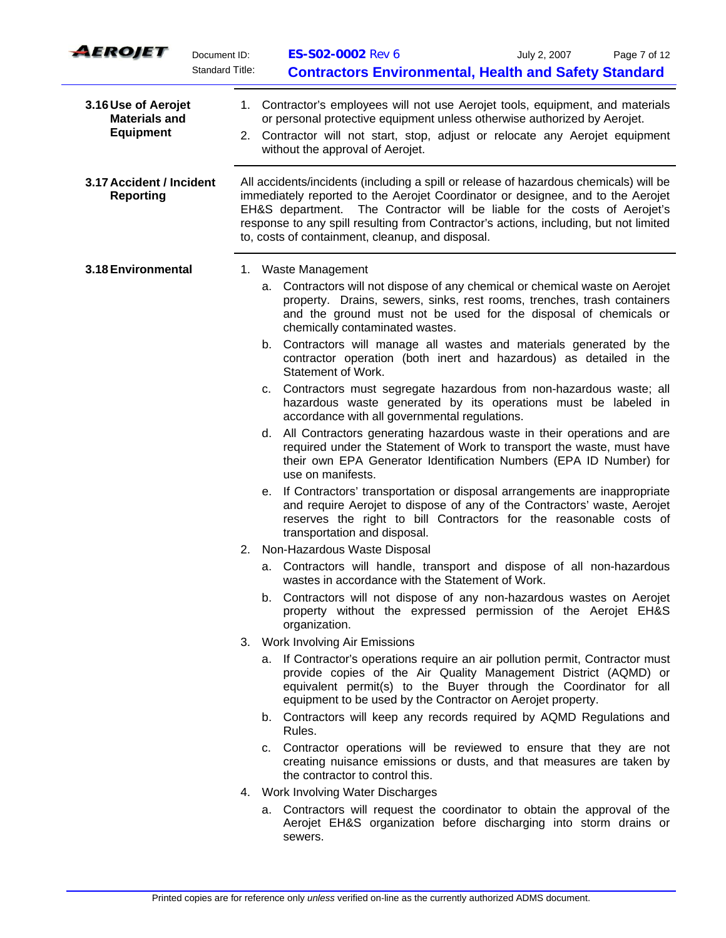| AEROJET                                                         | Document ID:<br><b>Standard Title:</b> | <b>ES-S02-0002 Rev 6</b><br>July 2, 2007<br>Page 7 of 12<br><b>Contractors Environmental, Health and Safety Standard</b>                                                                                                                                                                                                                                                                                                            |
|-----------------------------------------------------------------|----------------------------------------|-------------------------------------------------------------------------------------------------------------------------------------------------------------------------------------------------------------------------------------------------------------------------------------------------------------------------------------------------------------------------------------------------------------------------------------|
| 3.16 Use of Aerojet<br><b>Materials and</b><br><b>Equipment</b> |                                        | 1. Contractor's employees will not use Aerojet tools, equipment, and materials<br>or personal protective equipment unless otherwise authorized by Aerojet.<br>2. Contractor will not start, stop, adjust or relocate any Aerojet equipment<br>without the approval of Aerojet.                                                                                                                                                      |
| 3.17 Accident / Incident<br><b>Reporting</b>                    |                                        | All accidents/incidents (including a spill or release of hazardous chemicals) will be<br>immediately reported to the Aerojet Coordinator or designee, and to the Aerojet<br>EH&S department. The Contractor will be liable for the costs of Aerojet's<br>response to any spill resulting from Contractor's actions, including, but not limited<br>to, costs of containment, cleanup, and disposal.                                  |
| 3.18 Environmental                                              |                                        | 1. Waste Management<br>a. Contractors will not dispose of any chemical or chemical waste on Aerojet<br>property. Drains, sewers, sinks, rest rooms, trenches, trash containers<br>and the ground must not be used for the disposal of chemicals or<br>chemically contaminated wastes.<br>b. Contractors will manage all wastes and materials generated by the<br>contractor operation (both inert and hazardous) as detailed in the |
|                                                                 |                                        | Statement of Work.<br>c. Contractors must segregate hazardous from non-hazardous waste; all<br>hazardous waste generated by its operations must be labeled in<br>accordance with all governmental regulations.                                                                                                                                                                                                                      |
|                                                                 |                                        | d. All Contractors generating hazardous waste in their operations and are<br>required under the Statement of Work to transport the waste, must have<br>their own EPA Generator Identification Numbers (EPA ID Number) for<br>use on manifests.                                                                                                                                                                                      |
|                                                                 |                                        | e. If Contractors' transportation or disposal arrangements are inappropriate<br>and require Aerojet to dispose of any of the Contractors' waste, Aerojet<br>reserves the right to bill Contractors for the reasonable costs of<br>transportation and disposal.                                                                                                                                                                      |
|                                                                 | 2.                                     | Non-Hazardous Waste Disposal                                                                                                                                                                                                                                                                                                                                                                                                        |
|                                                                 |                                        | a. Contractors will handle, transport and dispose of all non-hazardous<br>wastes in accordance with the Statement of Work.                                                                                                                                                                                                                                                                                                          |
|                                                                 |                                        | b. Contractors will not dispose of any non-hazardous wastes on Aerojet<br>property without the expressed permission of the Aerojet EH&S<br>organization.                                                                                                                                                                                                                                                                            |
|                                                                 |                                        | 3. Work Involving Air Emissions                                                                                                                                                                                                                                                                                                                                                                                                     |
|                                                                 |                                        | a. If Contractor's operations require an air pollution permit, Contractor must<br>provide copies of the Air Quality Management District (AQMD) or<br>equivalent permit(s) to the Buyer through the Coordinator for all<br>equipment to be used by the Contractor on Aerojet property.                                                                                                                                               |
|                                                                 |                                        | b. Contractors will keep any records required by AQMD Regulations and<br>Rules.                                                                                                                                                                                                                                                                                                                                                     |
|                                                                 |                                        | c. Contractor operations will be reviewed to ensure that they are not<br>creating nuisance emissions or dusts, and that measures are taken by<br>the contractor to control this.                                                                                                                                                                                                                                                    |
|                                                                 |                                        | 4. Work Involving Water Discharges                                                                                                                                                                                                                                                                                                                                                                                                  |
|                                                                 |                                        | a. Contractors will request the coordinator to obtain the approval of the<br>Aerojet EH&S organization before discharging into storm drains or<br>sewers.                                                                                                                                                                                                                                                                           |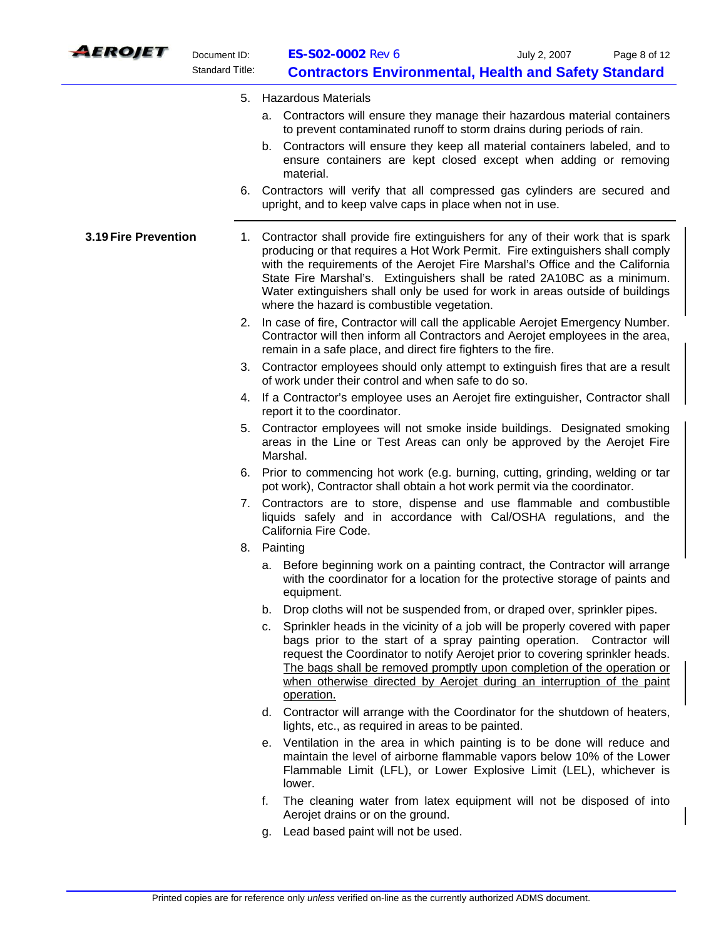

| LEROJET              | Document ID:<br><b>Standard Title:</b> | ES-S02-0002 Rev 6<br>July 2, 2007                                                                                                                                                                                                                                                                                                                                                                                                                               | Page 8 of 12 |
|----------------------|----------------------------------------|-----------------------------------------------------------------------------------------------------------------------------------------------------------------------------------------------------------------------------------------------------------------------------------------------------------------------------------------------------------------------------------------------------------------------------------------------------------------|--------------|
|                      |                                        | <b>Contractors Environmental, Health and Safety Standard</b>                                                                                                                                                                                                                                                                                                                                                                                                    |              |
|                      |                                        | 5. Hazardous Materials<br>a. Contractors will ensure they manage their hazardous material containers<br>to prevent contaminated runoff to storm drains during periods of rain.                                                                                                                                                                                                                                                                                  |              |
|                      |                                        | b. Contractors will ensure they keep all material containers labeled, and to<br>ensure containers are kept closed except when adding or removing<br>material.                                                                                                                                                                                                                                                                                                   |              |
|                      |                                        | 6. Contractors will verify that all compressed gas cylinders are secured and<br>upright, and to keep valve caps in place when not in use.                                                                                                                                                                                                                                                                                                                       |              |
| 3.19 Fire Prevention |                                        | 1. Contractor shall provide fire extinguishers for any of their work that is spark<br>producing or that requires a Hot Work Permit. Fire extinguishers shall comply<br>with the requirements of the Aerojet Fire Marshal's Office and the California<br>State Fire Marshal's. Extinguishers shall be rated 2A10BC as a minimum.<br>Water extinguishers shall only be used for work in areas outside of buildings<br>where the hazard is combustible vegetation. |              |
|                      | 2.                                     | In case of fire, Contractor will call the applicable Aerojet Emergency Number.<br>Contractor will then inform all Contractors and Aerojet employees in the area,<br>remain in a safe place, and direct fire fighters to the fire.                                                                                                                                                                                                                               |              |
|                      | 3.                                     | Contractor employees should only attempt to extinguish fires that are a result<br>of work under their control and when safe to do so.                                                                                                                                                                                                                                                                                                                           |              |
|                      | 4.                                     | If a Contractor's employee uses an Aerojet fire extinguisher, Contractor shall<br>report it to the coordinator.                                                                                                                                                                                                                                                                                                                                                 |              |
|                      | 5.                                     | Contractor employees will not smoke inside buildings. Designated smoking<br>areas in the Line or Test Areas can only be approved by the Aerojet Fire<br>Marshal.                                                                                                                                                                                                                                                                                                |              |
|                      | 6.                                     | Prior to commencing hot work (e.g. burning, cutting, grinding, welding or tar<br>pot work), Contractor shall obtain a hot work permit via the coordinator.                                                                                                                                                                                                                                                                                                      |              |
|                      |                                        | 7. Contractors are to store, dispense and use flammable and combustible<br>liquids safely and in accordance with Cal/OSHA regulations, and the<br>California Fire Code.                                                                                                                                                                                                                                                                                         |              |
|                      |                                        | 8. Painting                                                                                                                                                                                                                                                                                                                                                                                                                                                     |              |
|                      |                                        | a. Before beginning work on a painting contract, the Contractor will arrange<br>with the coordinator for a location for the protective storage of paints and<br>equipment.                                                                                                                                                                                                                                                                                      |              |
|                      |                                        | Drop cloths will not be suspended from, or draped over, sprinkler pipes.<br>b.                                                                                                                                                                                                                                                                                                                                                                                  |              |
|                      |                                        | Sprinkler heads in the vicinity of a job will be properly covered with paper<br>C.<br>bags prior to the start of a spray painting operation. Contractor will<br>request the Coordinator to notify Aerojet prior to covering sprinkler heads.<br>The bags shall be removed promptly upon completion of the operation or<br>when otherwise directed by Aerojet during an interruption of the paint<br>operation.                                                  |              |
|                      |                                        | d. Contractor will arrange with the Coordinator for the shutdown of heaters,<br>lights, etc., as required in areas to be painted.                                                                                                                                                                                                                                                                                                                               |              |
|                      |                                        | e. Ventilation in the area in which painting is to be done will reduce and<br>maintain the level of airborne flammable vapors below 10% of the Lower<br>Flammable Limit (LFL), or Lower Explosive Limit (LEL), whichever is<br>lower.                                                                                                                                                                                                                           |              |
|                      |                                        |                                                                                                                                                                                                                                                                                                                                                                                                                                                                 |              |

- f. The cleaning water from latex equipment will not be disposed of into Aerojet drains or on the ground.
- g. Lead based paint will not be used.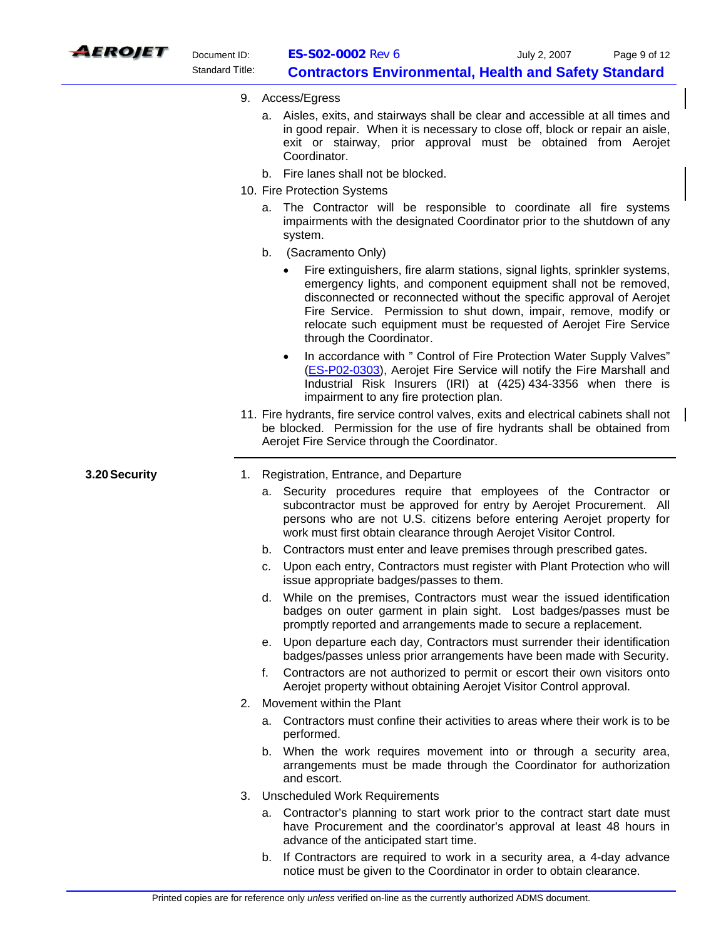

- 9. Access/Egress
	- a. Aisles, exits, and stairways shall be clear and accessible at all times and in good repair. When it is necessary to close off, block or repair an aisle, exit or stairway, prior approval must be obtained from Aerojet Coordinator.
	- b. Fire lanes shall not be blocked.
- 10. Fire Protection Systems
	- a. The Contractor will be responsible to coordinate all fire systems impairments with the designated Coordinator prior to the shutdown of any system.
	- b. (Sacramento Only)
		- Fire extinguishers, fire alarm stations, signal lights, sprinkler systems, emergency lights, and component equipment shall not be removed, disconnected or reconnected without the specific approval of Aerojet Fire Service. Permission to shut down, impair, remove, modify or relocate such equipment must be requested of Aerojet Fire Service through the Coordinator.
		- In accordance with " Control of Fire Protection Water Supply Valves" [\(ES-P02-0303](http://webprod.sa.aerojet.com/intradoc-cgi/idc_cgi_isapi.dll?IdcService=GET_SEARCH_RESULTS&QueryText=dDocName+%3CMatches%3E+%60ES-P02-0303%60)), Aerojet Fire Service will notify the Fire Marshall and Industrial Risk Insurers (IRI) at (425) 434-3356 when there is impairment to any fire protection plan.
- 11. Fire hydrants, fire service control valves, exits and electrical cabinets shall not be blocked. Permission for the use of fire hydrants shall be obtained from Aerojet Fire Service through the Coordinator.

- **3.20 Security** 1. Registration, Entrance, and Departure
	- a. Security procedures require that employees of the Contractor or subcontractor must be approved for entry by Aerojet Procurement. All persons who are not U.S. citizens before entering Aerojet property for work must first obtain clearance through Aerojet Visitor Control.
	- b. Contractors must enter and leave premises through prescribed gates.
	- c. Upon each entry, Contractors must register with Plant Protection who will issue appropriate badges/passes to them.
	- d. While on the premises, Contractors must wear the issued identification badges on outer garment in plain sight. Lost badges/passes must be promptly reported and arrangements made to secure a replacement.
	- e. Upon departure each day, Contractors must surrender their identification badges/passes unless prior arrangements have been made with Security.
	- f. Contractors are not authorized to permit or escort their own visitors onto Aerojet property without obtaining Aerojet Visitor Control approval.
	- 2. Movement within the Plant
		- a. Contractors must confine their activities to areas where their work is to be performed.
		- b. When the work requires movement into or through a security area, arrangements must be made through the Coordinator for authorization and escort.
	- 3. Unscheduled Work Requirements
		- a. Contractor's planning to start work prior to the contract start date must have Procurement and the coordinator's approval at least 48 hours in advance of the anticipated start time.
		- b. If Contractors are required to work in a security area, a 4-day advance notice must be given to the Coordinator in order to obtain clearance.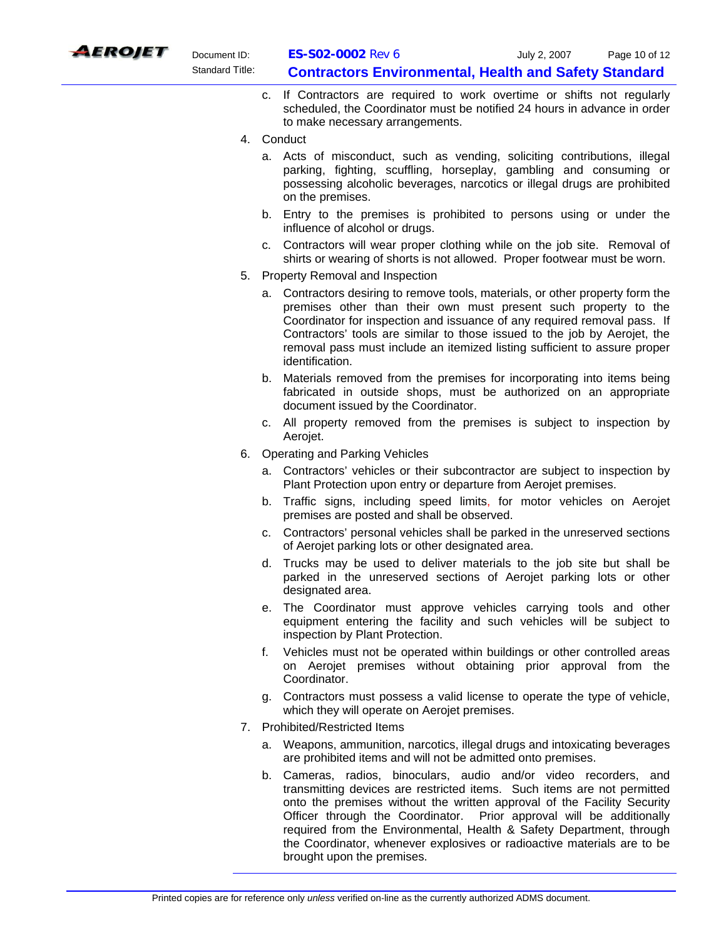

- c. If Contractors are required to work overtime or shifts not regularly scheduled, the Coordinator must be notified 24 hours in advance in order to make necessary arrangements.
- 4. Conduct
	- a. Acts of misconduct, such as vending, soliciting contributions, illegal parking, fighting, scuffling, horseplay, gambling and consuming or possessing alcoholic beverages, narcotics or illegal drugs are prohibited on the premises.
	- b. Entry to the premises is prohibited to persons using or under the influence of alcohol or drugs.
	- c. Contractors will wear proper clothing while on the job site. Removal of shirts or wearing of shorts is not allowed. Proper footwear must be worn.
- 5. Property Removal and Inspection
	- a. Contractors desiring to remove tools, materials, or other property form the premises other than their own must present such property to the Coordinator for inspection and issuance of any required removal pass. If Contractors' tools are similar to those issued to the job by Aerojet, the removal pass must include an itemized listing sufficient to assure proper identification.
	- b. Materials removed from the premises for incorporating into items being fabricated in outside shops, must be authorized on an appropriate document issued by the Coordinator.
	- c. All property removed from the premises is subject to inspection by Aerojet.
- 6. Operating and Parking Vehicles
	- a. Contractors' vehicles or their subcontractor are subject to inspection by Plant Protection upon entry or departure from Aerojet premises.
	- b. Traffic signs, including speed limits, for motor vehicles on Aerojet premises are posted and shall be observed.
	- c. Contractors' personal vehicles shall be parked in the unreserved sections of Aerojet parking lots or other designated area.
	- d. Trucks may be used to deliver materials to the job site but shall be parked in the unreserved sections of Aerojet parking lots or other designated area.
	- e. The Coordinator must approve vehicles carrying tools and other equipment entering the facility and such vehicles will be subject to inspection by Plant Protection.
	- f. Vehicles must not be operated within buildings or other controlled areas on Aerojet premises without obtaining prior approval from the Coordinator.
	- g. Contractors must possess a valid license to operate the type of vehicle, which they will operate on Aerojet premises.
- 7. Prohibited/Restricted Items
	- a. Weapons, ammunition, narcotics, illegal drugs and intoxicating beverages are prohibited items and will not be admitted onto premises.
	- b. Cameras, radios, binoculars, audio and/or video recorders, and transmitting devices are restricted items. Such items are not permitted onto the premises without the written approval of the Facility Security Officer through the Coordinator. Prior approval will be additionally required from the Environmental, Health & Safety Department, through the Coordinator, whenever explosives or radioactive materials are to be brought upon the premises.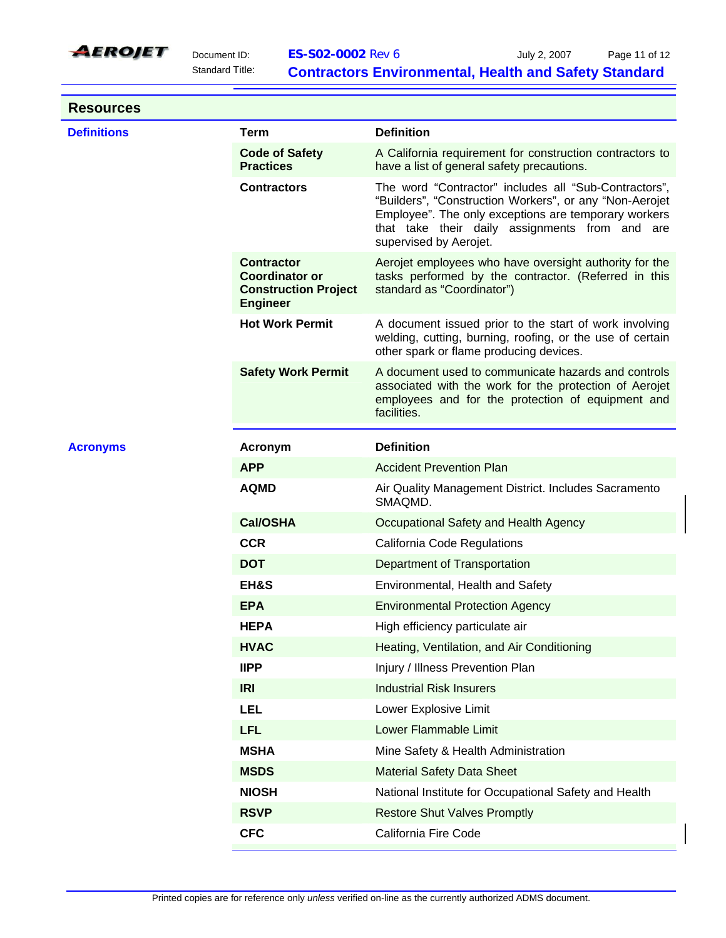

**Resources** 

| <b>Definitions</b> | <b>Term</b>                                                                                  | <b>Definition</b>                                                                                                                                                                                                                                    |
|--------------------|----------------------------------------------------------------------------------------------|------------------------------------------------------------------------------------------------------------------------------------------------------------------------------------------------------------------------------------------------------|
|                    | <b>Code of Safety</b><br><b>Practices</b>                                                    | A California requirement for construction contractors to<br>have a list of general safety precautions.                                                                                                                                               |
|                    | <b>Contractors</b>                                                                           | The word "Contractor" includes all "Sub-Contractors",<br>"Builders", "Construction Workers", or any "Non-Aerojet<br>Employee". The only exceptions are temporary workers<br>that take their daily assignments from and are<br>supervised by Aerojet. |
|                    | <b>Contractor</b><br><b>Coordinator or</b><br><b>Construction Project</b><br><b>Engineer</b> | Aerojet employees who have oversight authority for the<br>tasks performed by the contractor. (Referred in this<br>standard as "Coordinator")                                                                                                         |
|                    | <b>Hot Work Permit</b>                                                                       | A document issued prior to the start of work involving<br>welding, cutting, burning, roofing, or the use of certain<br>other spark or flame producing devices.                                                                                       |
|                    | <b>Safety Work Permit</b>                                                                    | A document used to communicate hazards and controls<br>associated with the work for the protection of Aerojet<br>employees and for the protection of equipment and<br>facilities.                                                                    |
| <b>Acronyms</b>    | Acronym                                                                                      | <b>Definition</b>                                                                                                                                                                                                                                    |
|                    | <b>APP</b>                                                                                   | <b>Accident Prevention Plan</b>                                                                                                                                                                                                                      |
|                    | <b>AQMD</b>                                                                                  | Air Quality Management District. Includes Sacramento<br>SMAQMD.                                                                                                                                                                                      |
|                    | <b>Cal/OSHA</b>                                                                              | Occupational Safety and Health Agency                                                                                                                                                                                                                |
|                    | <b>CCR</b>                                                                                   | California Code Regulations                                                                                                                                                                                                                          |
|                    | <b>DOT</b>                                                                                   | Department of Transportation                                                                                                                                                                                                                         |
|                    | EH&S                                                                                         | Environmental, Health and Safety                                                                                                                                                                                                                     |
|                    | <b>EPA</b>                                                                                   | <b>Environmental Protection Agency</b>                                                                                                                                                                                                               |
|                    |                                                                                              |                                                                                                                                                                                                                                                      |
|                    | <b>HEPA</b>                                                                                  | High efficiency particulate air                                                                                                                                                                                                                      |
|                    | <b>HVAC</b>                                                                                  | Heating, Ventilation, and Air Conditioning                                                                                                                                                                                                           |
|                    | <b>IIPP</b>                                                                                  | Injury / Illness Prevention Plan                                                                                                                                                                                                                     |
|                    | <b>IRI</b>                                                                                   | <b>Industrial Risk Insurers</b>                                                                                                                                                                                                                      |
|                    | <b>LEL</b>                                                                                   | Lower Explosive Limit                                                                                                                                                                                                                                |
|                    | <b>LFL</b>                                                                                   | Lower Flammable Limit                                                                                                                                                                                                                                |
|                    | <b>MSHA</b>                                                                                  | Mine Safety & Health Administration                                                                                                                                                                                                                  |
|                    | <b>MSDS</b>                                                                                  | <b>Material Safety Data Sheet</b>                                                                                                                                                                                                                    |
|                    | <b>NIOSH</b>                                                                                 | National Institute for Occupational Safety and Health                                                                                                                                                                                                |
|                    | <b>RSVP</b>                                                                                  | <b>Restore Shut Valves Promptly</b>                                                                                                                                                                                                                  |